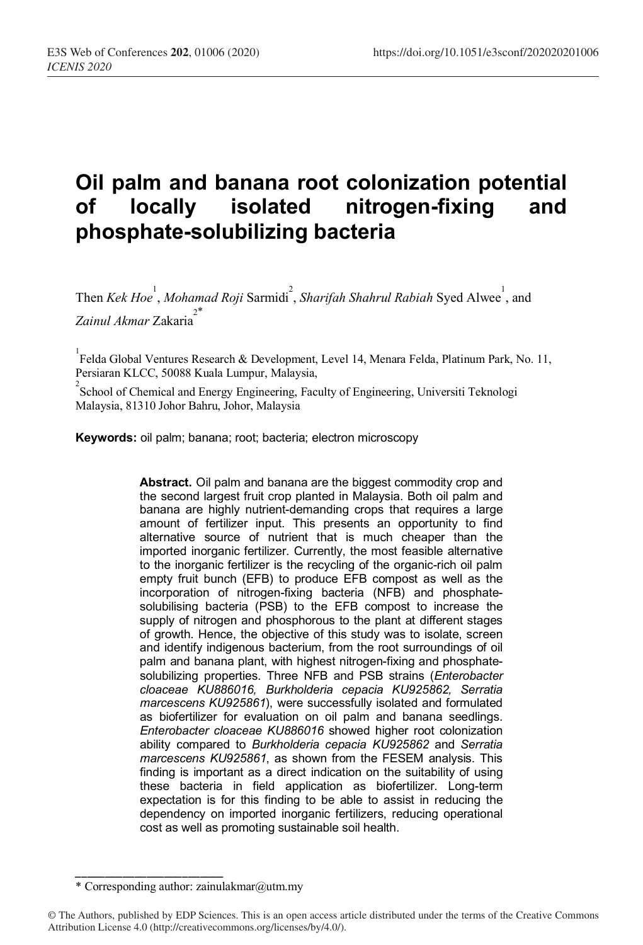# **Oil palm and banana root colonization potential of locally isolated nitrogen-fixing and phosphate-solubilizing bacteria**

Then *Kek Hoe<sup>1</sup>*, *Mohamad Roji* Sarmidi<sup>2</sup>, *Sharifah Shahrul Rabiah* Syed Alwee<sup>1</sup>, and *Zainul Akmar* Zakaria<sup>2\*</sup>

<sup>1</sup><br>Felda Global Ventures Research & Development, Level 14, Menara Felda, Platinum Park, No. 11, Persiaran KLCC, 50088 Kuala Lumpur, Malaysia,

<sup>2</sup> School of Chemical and Energy Engineering, Faculty of Engineering, Universiti Teknologi Malaysia, 81310 Johor Bahru, Johor, Malaysia

**Keywords:** oil palm; banana; root; bacteria; electron microscopy

**Abstract.** Oil palm and banana are the biggest commodity crop and the second largest fruit crop planted in Malaysia. Both oil palm and banana are highly nutrient-demanding crops that requires a large amount of fertilizer input. This presents an opportunity to find alternative source of nutrient that is much cheaper than the imported inorganic fertilizer. Currently, the most feasible alternative to the inorganic fertilizer is the recycling of the organic-rich oil palm empty fruit bunch (EFB) to produce EFB compost as well as the incorporation of nitrogen-fixing bacteria (NFB) and phosphatesolubilising bacteria (PSB) to the EFB compost to increase the supply of nitrogen and phosphorous to the plant at different stages of growth. Hence, the objective of this study was to isolate, screen and identify indigenous bacterium, from the root surroundings of oil palm and banana plant, with highest nitrogen-fixing and phosphatesolubilizing properties. Three NFB and PSB strains (*Enterobacter cloaceae KU886016, Burkholderia cepacia KU925862, Serratia marcescens KU925861*), were successfully isolated and formulated as biofertilizer for evaluation on oil palm and banana seedlings. *Enterobacter cloaceae KU886016* showed higher root colonization ability compared to *Burkholderia cepacia KU925862* and *Serratia marcescens KU925861*, as shown from the FESEM analysis. This finding is important as a direct indication on the suitability of using these bacteria in field application as biofertilizer. Long-term expectation is for this finding to be able to assist in reducing the dependency on imported inorganic fertilizers, reducing operational cost as well as promoting sustainable soil health.

\_\_\_\_\_\_\_\_\_\_\_\_\_\_\_\_\_\_\_\_\_\_\_\_\_ \* Corresponding author: zainulakmar@utm.my

<sup>©</sup> The Authors, published by EDP Sciences. This is an open access article distributed under the terms of the Creative Commons Attribution License 4.0 (http://creativecommons.org/licenses/by/4.0/).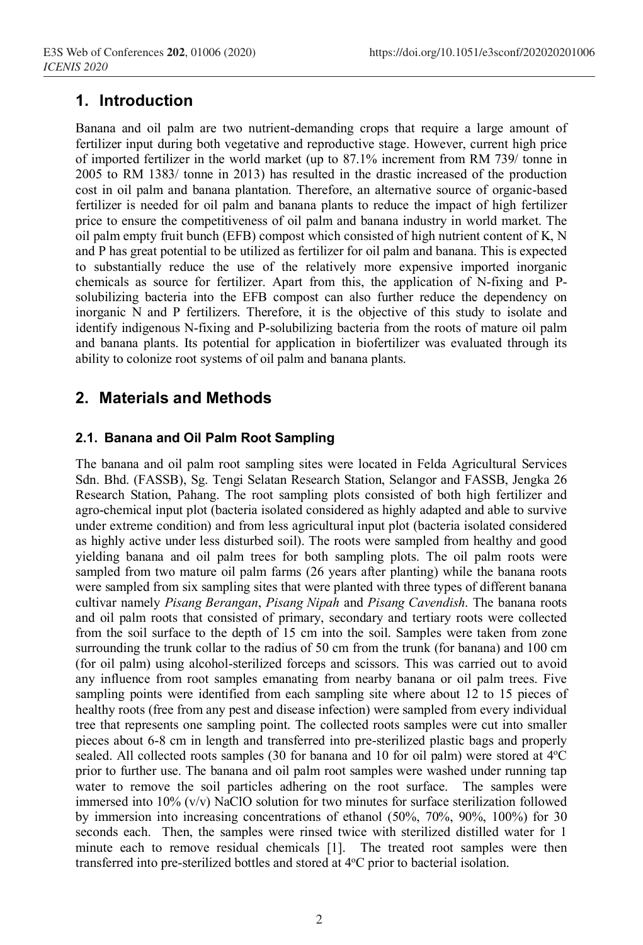# **1. Introduction**

Banana and oil palm are two nutrient-demanding crops that require a large amount of fertilizer input during both vegetative and reproductive stage. However, current high price of imported fertilizer in the world market (up to 87.1% increment from RM 739/ tonne in 2005 to RM 1383/ tonne in 2013) has resulted in the drastic increased of the production cost in oil palm and banana plantation. Therefore, an alternative source of organic-based fertilizer is needed for oil palm and banana plants to reduce the impact of high fertilizer price to ensure the competitiveness of oil palm and banana industry in world market. The oil palm empty fruit bunch (EFB) compost which consisted of high nutrient content of K, N and P has great potential to be utilized as fertilizer for oil palm and banana. This is expected to substantially reduce the use of the relatively more expensive imported inorganic chemicals as source for fertilizer. Apart from this, the application of N-fixing and Psolubilizing bacteria into the EFB compost can also further reduce the dependency on inorganic N and P fertilizers. Therefore, it is the objective of this study to isolate and identify indigenous N-fixing and P-solubilizing bacteria from the roots of mature oil palm and banana plants. Its potential for application in biofertilizer was evaluated through its ability to colonize root systems of oil palm and banana plants.

# **2. Materials and Methods**

### **2.1. Banana and Oil Palm Root Sampling**

The banana and oil palm root sampling sites were located in Felda Agricultural Services Sdn. Bhd. (FASSB), Sg. Tengi Selatan Research Station, Selangor and FASSB, Jengka 26 Research Station, Pahang. The root sampling plots consisted of both high fertilizer and agro-chemical input plot (bacteria isolated considered as highly adapted and able to survive under extreme condition) and from less agricultural input plot (bacteria isolated considered as highly active under less disturbed soil). The roots were sampled from healthy and good yielding banana and oil palm trees for both sampling plots. The oil palm roots were sampled from two mature oil palm farms (26 years after planting) while the banana roots were sampled from six sampling sites that were planted with three types of different banana cultivar namely *Pisang Berangan*, *Pisang Nipah* and *Pisang Cavendish*. The banana roots and oil palm roots that consisted of primary, secondary and tertiary roots were collected from the soil surface to the depth of 15 cm into the soil. Samples were taken from zone surrounding the trunk collar to the radius of 50 cm from the trunk (for banana) and 100 cm (for oil palm) using alcohol-sterilized forceps and scissors. This was carried out to avoid any influence from root samples emanating from nearby banana or oil palm trees. Five sampling points were identified from each sampling site where about 12 to 15 pieces of healthy roots (free from any pest and disease infection) were sampled from every individual tree that represents one sampling point. The collected roots samples were cut into smaller pieces about 6-8 cm in length and transferred into pre-sterilized plastic bags and properly sealed. All collected roots samples (30 for banana and 10 for oil palm) were stored at 4°C prior to further use. The banana and oil palm root samples were washed under running tap water to remove the soil particles adhering on the root surface. The samples were immersed into  $10\%$  (v/v) NaClO solution for two minutes for surface sterilization followed by immersion into increasing concentrations of ethanol (50%, 70%, 90%, 100%) for 30 seconds each. Then, the samples were rinsed twice with sterilized distilled water for 1 minute each to remove residual chemicals [1]. The treated root samples were then transferred into pre-sterilized bottles and stored at 4°C prior to bacterial isolation.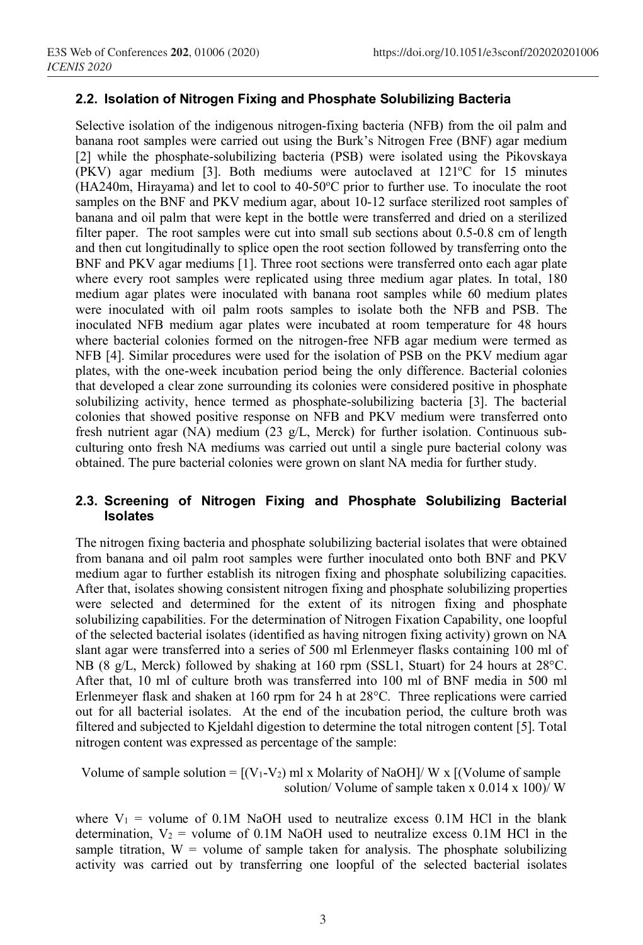#### **2.2. Isolation of Nitrogen Fixing and Phosphate Solubilizing Bacteria**

Selective isolation of the indigenous nitrogen-fixing bacteria (NFB) from the oil palm and banana root samples were carried out using the Burk's Nitrogen Free (BNF) agar medium [2] while the phosphate-solubilizing bacteria (PSB) were isolated using the Pikovskaya (PKV) agar medium [3]. Both mediums were autoclaved at 121°C for 15 minutes  $(HA240m, Hirayama)$  and let to cool to  $40-50^{\circ}$ C prior to further use. To inoculate the root samples on the BNF and PKV medium agar, about 10-12 surface sterilized root samples of banana and oil palm that were kept in the bottle were transferred and dried on a sterilized filter paper. The root samples were cut into small sub sections about 0.5-0.8 cm of length and then cut longitudinally to splice open the root section followed by transferring onto the BNF and PKV agar mediums [1]. Three root sections were transferred onto each agar plate where every root samples were replicated using three medium agar plates. In total, 180 medium agar plates were inoculated with banana root samples while 60 medium plates were inoculated with oil palm roots samples to isolate both the NFB and PSB. The inoculated NFB medium agar plates were incubated at room temperature for 48 hours where bacterial colonies formed on the nitrogen-free NFB agar medium were termed as NFB [4]. Similar procedures were used for the isolation of PSB on the PKV medium agar plates, with the one-week incubation period being the only difference. Bacterial colonies that developed a clear zone surrounding its colonies were considered positive in phosphate solubilizing activity, hence termed as phosphate-solubilizing bacteria [3]. The bacterial colonies that showed positive response on NFB and PKV medium were transferred onto fresh nutrient agar (NA) medium (23 g/L, Merck) for further isolation. Continuous subculturing onto fresh NA mediums was carried out until a single pure bacterial colony was obtained. The pure bacterial colonies were grown on slant NA media for further study.

#### **2.3. Screening of Nitrogen Fixing and Phosphate Solubilizing Bacterial Isolates**

The nitrogen fixing bacteria and phosphate solubilizing bacterial isolates that were obtained from banana and oil palm root samples were further inoculated onto both BNF and PKV medium agar to further establish its nitrogen fixing and phosphate solubilizing capacities. After that, isolates showing consistent nitrogen fixing and phosphate solubilizing properties were selected and determined for the extent of its nitrogen fixing and phosphate solubilizing capabilities. For the determination of Nitrogen Fixation Capability, one loopful of the selected bacterial isolates (identified as having nitrogen fixing activity) grown on NA slant agar were transferred into a series of 500 ml Erlenmeyer flasks containing 100 ml of NB (8 g/L, Merck) followed by shaking at 160 rpm (SSL1, Stuart) for 24 hours at 28°C. After that, 10 ml of culture broth was transferred into 100 ml of BNF media in 500 ml Erlenmeyer flask and shaken at 160 rpm for 24 h at 28°C. Three replications were carried out for all bacterial isolates. At the end of the incubation period, the culture broth was filtered and subjected to Kjeldahl digestion to determine the total nitrogen content [5]. Total nitrogen content was expressed as percentage of the sample:

Volume of sample solution =  $[(V_1-V_2)$  ml x Molarity of NaOH]/ W x  $[(Volume of sample$ solution/ Volume of sample taken x  $0.014 \times 100$ )/ W

where  $V_1$  = volume of 0.1M NaOH used to neutralize excess 0.1M HCl in the blank determination,  $V_2$  = volume of 0.1M NaOH used to neutralize excess 0.1M HCl in the sample titration,  $W =$  volume of sample taken for analysis. The phosphate solubilizing activity was carried out by transferring one loopful of the selected bacterial isolates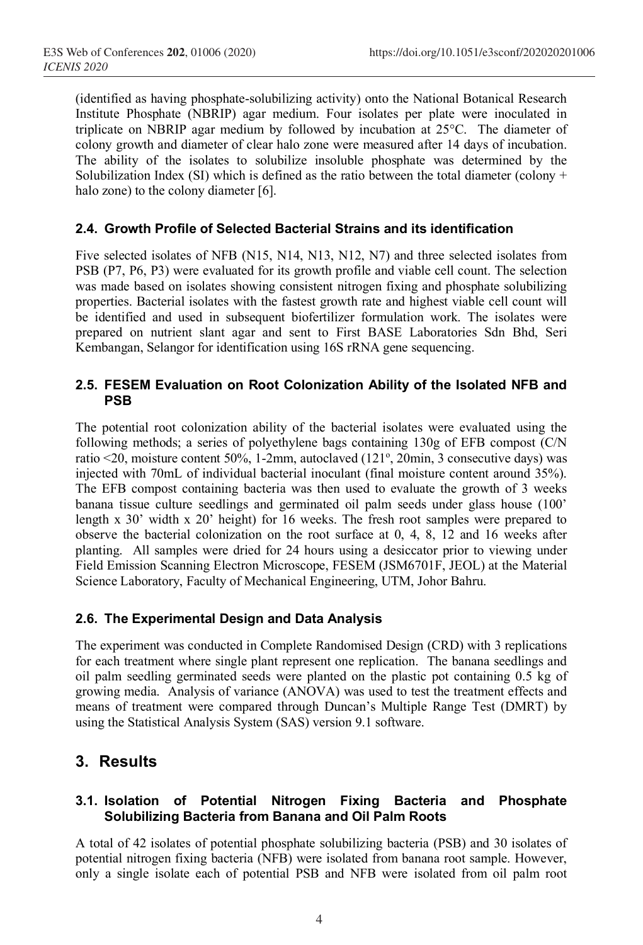(identified as having phosphate-solubilizing activity) onto the National Botanical Research Institute Phosphate (NBRIP) agar medium. Four isolates per plate were inoculated in triplicate on NBRIP agar medium by followed by incubation at 25°C. The diameter of colony growth and diameter of clear halo zone were measured after 14 days of incubation. The ability of the isolates to solubilize insoluble phosphate was determined by the Solubilization Index (SI) which is defined as the ratio between the total diameter (colony + halo zone) to the colony diameter [6].

#### **2.4. Growth Profile of Selected Bacterial Strains and its identification**

Five selected isolates of NFB (N15, N14, N13, N12, N7) and three selected isolates from PSB (P7, P6, P3) were evaluated for its growth profile and viable cell count. The selection was made based on isolates showing consistent nitrogen fixing and phosphate solubilizing properties. Bacterial isolates with the fastest growth rate and highest viable cell count will be identified and used in subsequent biofertilizer formulation work. The isolates were prepared on nutrient slant agar and sent to First BASE Laboratories Sdn Bhd, Seri Kembangan, Selangor for identification using 16S rRNA gene sequencing.

#### **2.5. FESEM Evaluation on Root Colonization Ability of the Isolated NFB and PSB**

The potential root colonization ability of the bacterial isolates were evaluated using the following methods; a series of polyethylene bags containing 130g of EFB compost (C/N ratio <20, moisture content 50%, 1-2mm, autoclaved (121°, 20min, 3 consecutive days) was injected with 70mL of individual bacterial inoculant (final moisture content around 35%). The EFB compost containing bacteria was then used to evaluate the growth of 3 weeks banana tissue culture seedlings and germinated oil palm seeds under glass house (100' length x 30' width x 20' height) for 16 weeks. The fresh root samples were prepared to observe the bacterial colonization on the root surface at 0, 4, 8, 12 and 16 weeks after planting. All samples were dried for 24 hours using a desiccator prior to viewing under Field Emission Scanning Electron Microscope, FESEM (JSM6701F, JEOL) at the Material Science Laboratory, Faculty of Mechanical Engineering, UTM, Johor Bahru.

#### **2.6. The Experimental Design and Data Analysis**

The experiment was conducted in Complete Randomised Design (CRD) with 3 replications for each treatment where single plant represent one replication. The banana seedlings and oil palm seedling germinated seeds were planted on the plastic pot containing 0.5 kg of growing media. Analysis of variance (ANOVA) was used to test the treatment effects and means of treatment were compared through Duncan's Multiple Range Test (DMRT) by using the Statistical Analysis System (SAS) version 9.1 software.

## **3. Results**

#### **3.1. Isolation of Potential Nitrogen Fixing Bacteria and Phosphate Solubilizing Bacteria from Banana and Oil Palm Roots**

A total of 42 isolates of potential phosphate solubilizing bacteria (PSB) and 30 isolates of potential nitrogen fixing bacteria (NFB) were isolated from banana root sample. However, only a single isolate each of potential PSB and NFB were isolated from oil palm root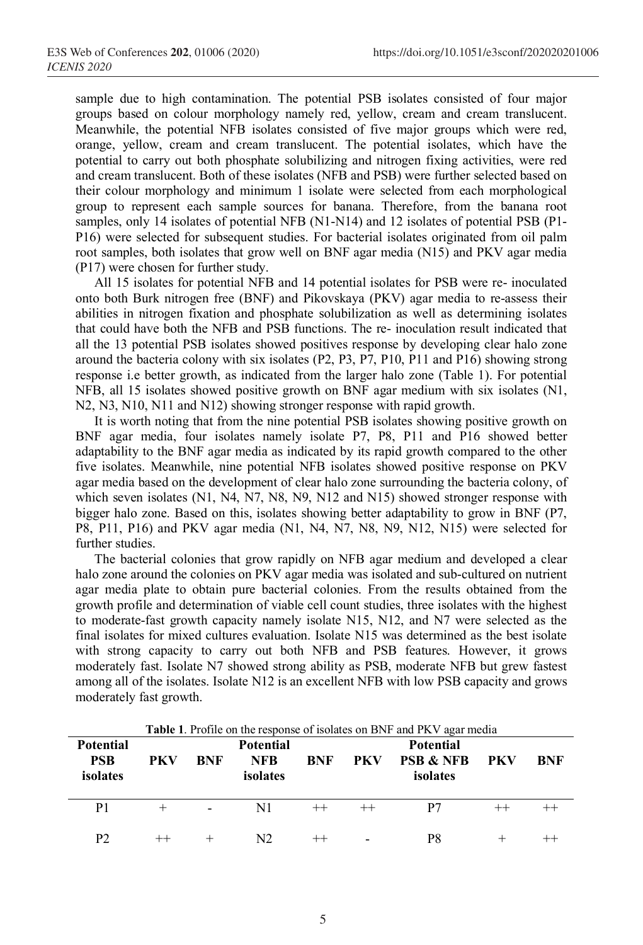sample due to high contamination. The potential PSB isolates consisted of four major groups based on colour morphology namely red, yellow, cream and cream translucent. Meanwhile, the potential NFB isolates consisted of five major groups which were red, orange, yellow, cream and cream translucent. The potential isolates, which have the potential to carry out both phosphate solubilizing and nitrogen fixing activities, were red and cream translucent. Both of these isolates (NFB and PSB) were further selected based on their colour morphology and minimum 1 isolate were selected from each morphological group to represent each sample sources for banana. Therefore, from the banana root samples, only 14 isolates of potential NFB (N1-N14) and 12 isolates of potential PSB (P1-P16) were selected for subsequent studies. For bacterial isolates originated from oil palm root samples, both isolates that grow well on BNF agar media (N15) and PKV agar media (P17) were chosen for further study.

All 15 isolates for potential NFB and 14 potential isolates for PSB were re- inoculated onto both Burk nitrogen free (BNF) and Pikovskaya (PKV) agar media to re-assess their abilities in nitrogen fixation and phosphate solubilization as well as determining isolates that could have both the NFB and PSB functions. The re- inoculation result indicated that all the 13 potential PSB isolates showed positives response by developing clear halo zone around the bacteria colony with six isolates (P2, P3, P7, P10, P11 and P16) showing strong response i.e better growth, as indicated from the larger halo zone (Table 1). For potential NFB, all 15 isolates showed positive growth on BNF agar medium with six isolates (N1, N2, N3, N10, N11 and N12) showing stronger response with rapid growth.

It is worth noting that from the nine potential PSB isolates showing positive growth on BNF agar media, four isolates namely isolate P7, P8, P11 and P16 showed better adaptability to the BNF agar media as indicated by its rapid growth compared to the other five isolates. Meanwhile, nine potential NFB isolates showed positive response on PKV agar media based on the development of clear halo zone surrounding the bacteria colony, of which seven isolates (N1, N4, N7, N8, N9, N12 and N15) showed stronger response with bigger halo zone. Based on this, isolates showing better adaptability to grow in BNF (P7, P8, P11, P16) and PKV agar media (N1, N4, N7, N8, N9, N12, N15) were selected for further studies.

The bacterial colonies that grow rapidly on NFB agar medium and developed a clear halo zone around the colonies on PKV agar media was isolated and sub-cultured on nutrient agar media plate to obtain pure bacterial colonies. From the results obtained from the growth profile and determination of viable cell count studies, three isolates with the highest to moderate-fast growth capacity namely isolate N15, N12, and N7 were selected as the final isolates for mixed cultures evaluation. Isolate N15 was determined as the best isolate with strong capacity to carry out both NFB and PSB features. However, it grows moderately fast. Isolate N7 showed strong ability as PSB, moderate NFB but grew fastest among all of the isolates. Isolate N12 is an excellent NFB with low PSB capacity and grows moderately fast growth.

|                                            |            | <b>Table 1.</b> Profile on the response of isolates on BNF and PKV agar media |                                            |     |         |                                                      |         |     |  |  |  |  |
|--------------------------------------------|------------|-------------------------------------------------------------------------------|--------------------------------------------|-----|---------|------------------------------------------------------|---------|-----|--|--|--|--|
| <b>Potential</b><br><b>PSB</b><br>isolates | <b>PKV</b> | BNF                                                                           | <b>Potential</b><br><b>NFB</b><br>isolates | BNF | PKV     | <b>Potential</b><br><b>PSB &amp; NFB</b><br>isolates | PKV     | BNF |  |  |  |  |
| P1                                         |            |                                                                               | N1                                         |     | $^{++}$ | P7                                                   | $^{++}$ |     |  |  |  |  |
| P٦                                         |            |                                                                               | N2                                         |     |         | P8                                                   |         |     |  |  |  |  |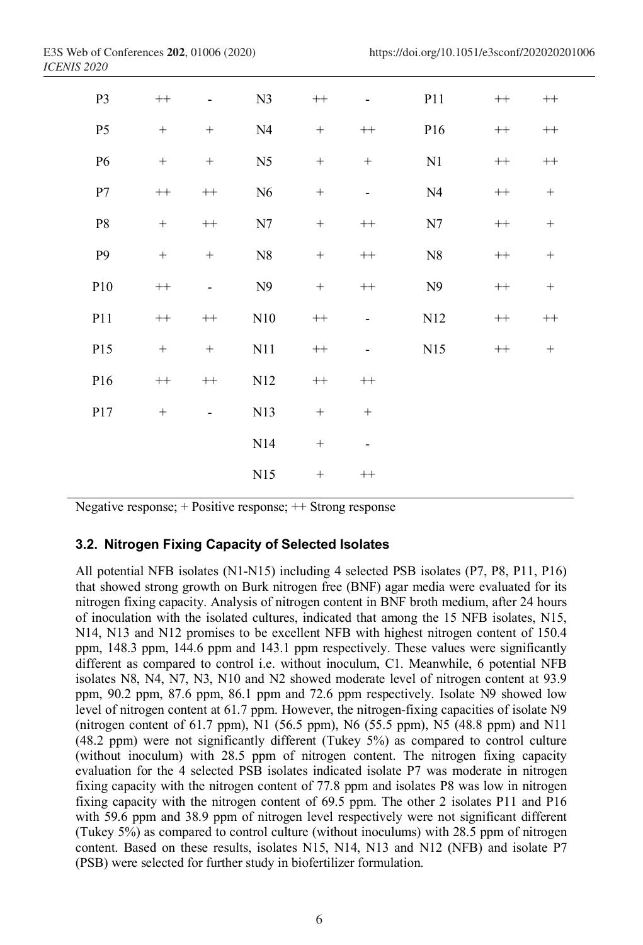| P <sub>3</sub>  | $++$             |                  | N <sub>3</sub> | $++$             |                          | P11            | $++$      | $^{++}\,$        |
|-----------------|------------------|------------------|----------------|------------------|--------------------------|----------------|-----------|------------------|
| P <sub>5</sub>  | $+$              | $+$              | N <sub>4</sub> |                  | $^{++}\,$                | P16            | $^{++}\,$ | $^{++}\,$        |
| P <sub>6</sub>  | $\! + \!\!\!\!$  |                  | N <sub>5</sub> |                  | $\! + \!\!\!\!$          | N1             | $^{++}\,$ | $^{++}\,$        |
| P7              | $^{++}\,$        | $^{++}\,$        | N6             | $\! + \!$        | $\overline{\phantom{0}}$ | N <sub>4</sub> | $^{++}\,$ | $\boldsymbol{+}$ |
| ${\bf P}8$      | $\! + \!\!\!\!$  | $^{++}\,$        | N7             | $\boldsymbol{+}$ | $^{++}\,$                | N7             | $^{++}\,$ | $\boldsymbol{+}$ |
| P <sub>9</sub>  | $\boldsymbol{+}$ | $\boldsymbol{+}$ | ${\rm N}8$     | $\boldsymbol{+}$ | $^{++}\,$                | ${\rm N}8$     | $^{++}\,$ | $\boldsymbol{+}$ |
| P10             | $^{++}\,$        | $\overline{a}$   | N9             |                  | $^{++}\,$                | N9             | $^{++}\,$ | $^+$             |
| P11             | $^{++}\,$        | $^{++}\,$        | N10            | $^{++}\,$        | $\overline{\phantom{0}}$ | N12            | $^{++}\,$ | $^{++}\,$        |
| P15             | $\boldsymbol{+}$ | $\boldsymbol{+}$ | N11            | $^{++}\,$        | $\overline{\phantom{0}}$ | N15            | $++$      |                  |
| P <sub>16</sub> | $^{++}\,$        | $^{++}\,$        | N12            | $^{++}\,$        | $^{++}\,$                |                |           |                  |
| P17             |                  | $\overline{a}$   | N13            | $\! + \!$        | $^+$                     |                |           |                  |
|                 |                  |                  | N14            |                  | $\overline{\phantom{0}}$ |                |           |                  |
|                 |                  |                  | N15            |                  | $^{++}\,$                |                |           |                  |

Negative response; + Positive response; ++ Strong response

#### **3.2. Nitrogen Fixing Capacity of Selected Isolates**

All potential NFB isolates (N1-N15) including 4 selected PSB isolates (P7, P8, P11, P16) that showed strong growth on Burk nitrogen free (BNF) agar media were evaluated for its nitrogen fixing capacity. Analysis of nitrogen content in BNF broth medium, after 24 hours of inoculation with the isolated cultures, indicated that among the 15 NFB isolates, N15, N14, N13 and N12 promises to be excellent NFB with highest nitrogen content of 150.4 ppm, 148.3 ppm, 144.6 ppm and 143.1 ppm respectively. These values were significantly different as compared to control i.e. without inoculum, C1. Meanwhile, 6 potential NFB isolates N8, N4, N7, N3, N10 and N2 showed moderate level of nitrogen content at 93.9 ppm, 90.2 ppm, 87.6 ppm, 86.1 ppm and 72.6 ppm respectively. Isolate N9 showed low level of nitrogen content at 61.7 ppm. However, the nitrogen-fixing capacities of isolate N9 (nitrogen content of 61.7 ppm), N1 (56.5 ppm), N6 (55.5 ppm), N5 (48.8 ppm) and N11 (48.2 ppm) were not significantly different (Tukey 5%) as compared to control culture (without inoculum) with 28.5 ppm of nitrogen content. The nitrogen fixing capacity evaluation for the 4 selected PSB isolates indicated isolate P7 was moderate in nitrogen fixing capacity with the nitrogen content of 77.8 ppm and isolates P8 was low in nitrogen fixing capacity with the nitrogen content of 69.5 ppm. The other 2 isolates P11 and P16 with 59.6 ppm and 38.9 ppm of nitrogen level respectively were not significant different (Tukey 5%) as compared to control culture (without inoculums) with 28.5 ppm of nitrogen content. Based on these results, isolates N15, N14, N13 and N12 (NFB) and isolate P7 (PSB) were selected for further study in biofertilizer formulation.